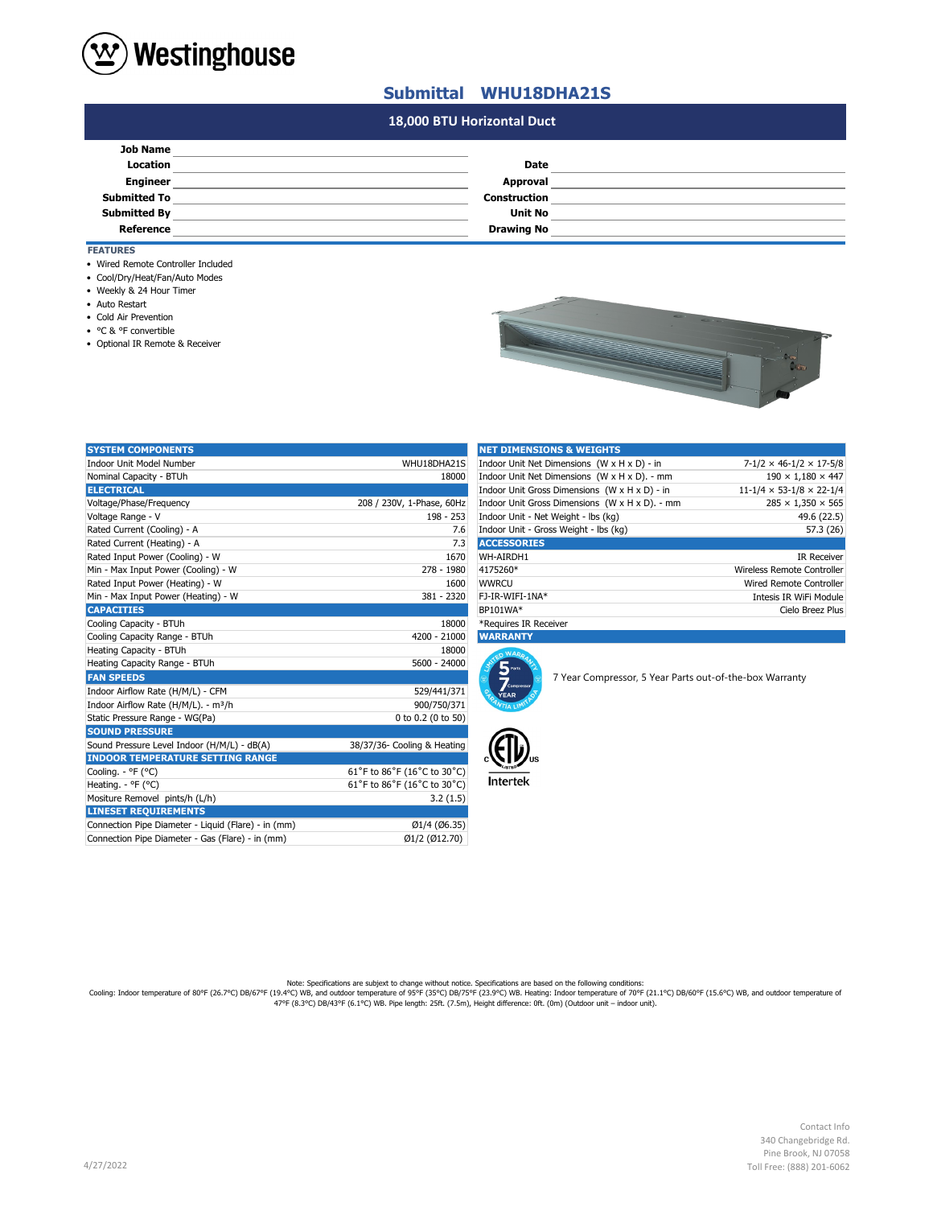

## **Submittal WHU18DHA21S**

## **#N/A #N/A 18,000 BTU Horizontal Duct**

| <b>Job Name</b>     |                   |  |
|---------------------|-------------------|--|
| <b>Location</b>     | <b>Date</b>       |  |
| <b>Engineer</b>     | Approval          |  |
| <b>Submitted To</b> | Construction      |  |
| <b>Submitted By</b> | <b>Unit No</b>    |  |
| Reference           | <b>Drawing No</b> |  |

## **FEATURES**

- Wired Remote Controller Included
- Cool/Dry/Heat/Fan/Auto Modes
- Weekly & 24 Hour Timer
- Auto Restart
- Cold Air Prevention
- °C & °F convertible
- Optional IR Remote & Receiver

| <b>COLLECTION</b><br><b>Carl Corporation</b><br>₹ā |
|----------------------------------------------------|
|                                                    |

| <b>SYSTEM COMPONENTS</b>                            |                             | <b>NET DIMENSIONS &amp; WEIGHTS</b>                                                      |                                                         |                                            |
|-----------------------------------------------------|-----------------------------|------------------------------------------------------------------------------------------|---------------------------------------------------------|--------------------------------------------|
| Indoor Unit Model Number                            | WHU18DHA21S                 | Indoor Unit Net Dimensions (W x H x D) - in<br>$7 - 1/2 \times 46 - 1/2 \times 17 - 5/8$ |                                                         |                                            |
| Nominal Capacity - BTUh                             | 18000                       |                                                                                          | Indoor Unit Net Dimensions (W x H x D). - mm            | $190 \times 1,180 \times 447$              |
| <b>ELECTRICAL</b>                                   |                             |                                                                                          | Indoor Unit Gross Dimensions (W x H x D) - in           | $11 - 1/4 \times 53 - 1/8 \times 22 - 1/4$ |
| Voltage/Phase/Frequency                             | 208 / 230V, 1-Phase, 60Hz   |                                                                                          | Indoor Unit Gross Dimensions (W x H x D). - mm          | $285 \times 1,350 \times 565$              |
| Voltage Range - V                                   | $198 - 253$                 | Indoor Unit - Net Weight - lbs (kq)                                                      |                                                         | 49.6 (22.5)                                |
| Rated Current (Cooling) - A                         | 7.6                         | Indoor Unit - Gross Weight - Ibs (kg)                                                    |                                                         | 57.3 (26)                                  |
| Rated Current (Heating) - A                         | 7.3                         | <b>ACCESSORIES</b>                                                                       |                                                         |                                            |
| Rated Input Power (Cooling) - W                     | 1670                        | WH-AIRDH1                                                                                |                                                         | <b>IR Receiver</b>                         |
| Min - Max Input Power (Cooling) - W                 | 278 - 1980                  | 4175260*                                                                                 |                                                         | Wireless Remote Controller                 |
| Rated Input Power (Heating) - W                     | 1600                        | <b>WWRCU</b>                                                                             |                                                         | Wired Remote Controller                    |
| Min - Max Input Power (Heating) - W                 | 381 - 2320                  | FJ-IR-WIFI-1NA*                                                                          |                                                         | Intesis IR WiFi Module                     |
| <b>CAPACITIES</b>                                   |                             | BP101WA*                                                                                 |                                                         | Cielo Breez Plus                           |
| Cooling Capacity - BTUh                             | 18000                       | *Requires IR Receiver                                                                    |                                                         |                                            |
| Cooling Capacity Range - BTUh                       | 4200 - 21000                | <b>WARRANTY</b>                                                                          |                                                         |                                            |
| Heating Capacity - BTUh                             | 18000                       | n WARA                                                                                   |                                                         |                                            |
| Heating Capacity Range - BTUh                       | 5600 - 24000                | 5 <sub>parts</sub>                                                                       |                                                         |                                            |
| <b>FAN SPEEDS</b>                                   |                             | $\overline{Z}$ compressor                                                                | 7 Year Compressor, 5 Year Parts out-of-the-box Warranty |                                            |
| Indoor Airflow Rate (H/M/L) - CFM                   | 529/441/371                 | <b>YEAR</b>                                                                              |                                                         |                                            |
| Indoor Airflow Rate (H/M/L). - m <sup>3</sup> /h    | 900/750/371                 |                                                                                          |                                                         |                                            |
| Static Pressure Range - WG(Pa)                      | 0 to 0.2 (0 to 50)          |                                                                                          |                                                         |                                            |
| <b>SOUND PRESSURE</b>                               |                             |                                                                                          |                                                         |                                            |
| Sound Pressure Level Indoor (H/M/L) - dB(A)         | 38/37/36- Cooling & Heating |                                                                                          |                                                         |                                            |
| <b>INDOOR TEMPERATURE SETTING RANGE</b>             |                             |                                                                                          |                                                         |                                            |
| Cooling. - °F (°C)                                  | 61°F to 86°F (16°C to 30°C) |                                                                                          |                                                         |                                            |
| Heating. - °F (°C)                                  | 61°F to 86°F (16°C to 30°C) | <b>Intertek</b>                                                                          |                                                         |                                            |
| Mositure Removel pints/h (L/h)                      | 3.2(1.5)                    |                                                                                          |                                                         |                                            |
| <b>LINESET REQUIREMENTS</b>                         |                             |                                                                                          |                                                         |                                            |
| Connection Pipe Diameter - Liquid (Flare) - in (mm) | Ø1/4 (Ø6.35)                |                                                                                          |                                                         |                                            |
| Connection Pipe Diameter - Gas (Flare) - in (mm)    | Ø1/2 (Ø12.70)               |                                                                                          |                                                         |                                            |
|                                                     |                             |                                                                                          |                                                         |                                            |

| <b>NET DIMENSIONS &amp; WEIGHTS</b>            |                                      |  |
|------------------------------------------------|--------------------------------------|--|
| Indoor Unit Net Dimensions (W x H x D) - in    | $7-1/2 \times 46-1/2 \times 17-5/8$  |  |
| Indoor Unit Net Dimensions (W x H x D). - mm   | $190 \times 1.180 \times 447$        |  |
| Indoor Unit Gross Dimensions (W x H x D) - in  | $11-1/4 \times 53-1/8 \times 22-1/4$ |  |
| Indoor Unit Gross Dimensions (W x H x D). - mm | $285 \times 1,350 \times 565$        |  |
| Indoor Unit - Net Weight - Ibs (kg)            | 49.6 (22.5)                          |  |
| Indoor Unit - Gross Weight - Ibs (kg)          | 57.3 (26)                            |  |
| <b>ACCESSORIES</b>                             |                                      |  |
| WH-AIRDH1                                      | <b>IR Receiver</b>                   |  |
| 4175260*                                       | Wireless Remote Controller           |  |
| <b>WWRCU</b>                                   | Wired Remote Controller              |  |
| FJ-IR-WIFI-1NA*                                | Intesis IR WiFi Module               |  |
| BP101WA*                                       | Cielo Breez Plus                     |  |
|                                                |                                      |  |





Note: Specifications are subjext to change without notice. Specifications are based on the following conditions:<br>Cooling: Indoor temperature of 80°F (26.7°C) DB/67°F (19.4°C) WB, and outdoor temperature of 90°F (21.1°C) DB